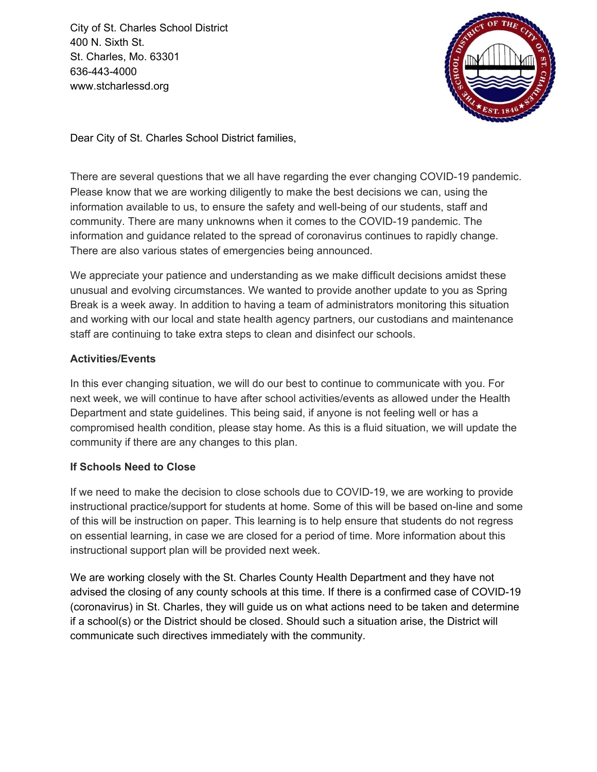City of St. Charles School District 400 N. Sixth St. St. Charles, Mo. 63301 636-443-4000 www.stcharlessd.org



Dear City of St. Charles School District families,

There are several questions that we all have regarding the ever changing COVID-19 pandemic. Please know that we are working diligently to make the best decisions we can, using the information available to us, to ensure the safety and well-being of our students, staff and community. There are many unknowns when it comes to the COVID-19 pandemic. The information and guidance related to the spread of coronavirus continues to rapidly change. There are also various states of emergencies being announced.

We appreciate your patience and understanding as we make difficult decisions amidst these unusual and evolving circumstances. We wanted to provide another update to you as Spring Break is a week away. In addition to having a team of administrators monitoring this situation and working with our local and state health agency partners, our custodians and maintenance staff are continuing to take extra steps to clean and disinfect our schools.

## **Activities/Events**

In this ever changing situation, we will do our best to continue to communicate with you. For next week, we will continue to have after school activities/events as allowed under the Health Department and state guidelines. This being said, if anyone is not feeling well or has a compromised health condition, please stay home. As this is a fluid situation, we will update the community if there are any changes to this plan.

## **If Schools Need to Close**

If we need to make the decision to close schools due to COVID-19, we are working to provide instructional practice/support for students at home. Some of this will be based on-line and some of this will be instruction on paper. This learning is to help ensure that students do not regress on essential learning, in case we are closed for a period of time. More information about this instructional support plan will be provided next week.

We are working closely with the St. Charles County Health Department and they have not advised the closing of any county schools at this time. If there is a confirmed case of COVID-19 (coronavirus) in St. Charles, they will guide us on what actions need to be taken and determine if a school(s) or the District should be closed. Should such a situation arise, the District will communicate such directives immediately with the community.